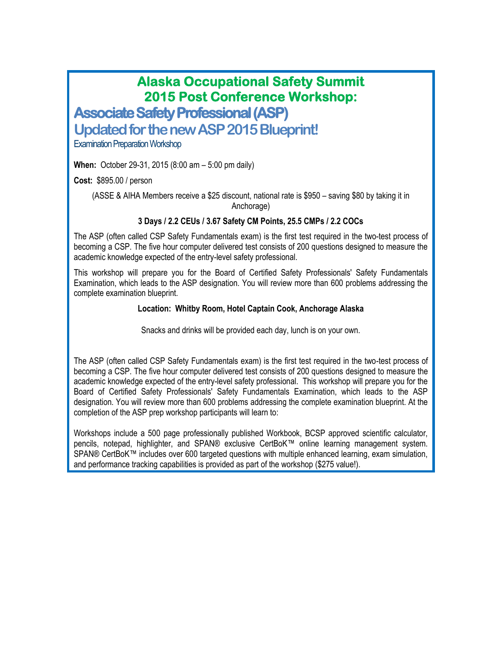# **Alaska Occupational Safety Summit 2015 Post Conference Workshop:**

**Associate Safety Professional (ASP)**

**Updated for the new ASP 2015 Blueprint!**

Examination Preparation Workshop

**When:** October 29-31, 2015 (8:00 am – 5:00 pm daily)

**Cost:** \$895.00 / person

(ASSE & AIHA Members receive a \$25 discount, national rate is \$950 – saving \$80 by taking it in Anchorage)

### **3 Days / 2.2 CEUs / 3.67 Safety CM Points, 25.5 CMPs / 2.2 COCs**

The ASP (often called CSP Safety Fundamentals exam) is the first test required in the two-test process of becoming a CSP. The five hour computer delivered test consists of 200 questions designed to measure the academic knowledge expected of the entry-level safety professional.

This workshop will prepare you for the Board of Certified Safety Professionals' Safety Fundamentals Examination, which leads to the ASP designation. You will review more than 600 problems addressing the complete examination blueprint.

#### **Location: Whitby Room, Hotel Captain Cook, Anchorage Alaska**

Snacks and drinks will be provided each day, lunch is on your own.

The ASP (often called CSP Safety Fundamentals exam) is the first test required in the two-test process of becoming a CSP. The five hour computer delivered test consists of 200 questions designed to measure the academic knowledge expected of the entry-level safety professional. This workshop will prepare you for the Board of Certified Safety Professionals' Safety Fundamentals Examination, which leads to the ASP designation. You will review more than 600 problems addressing the complete examination blueprint. At the completion of the ASP prep workshop participants will learn to:

Workshops include a 500 page professionally published Workbook, BCSP approved scientific calculator, pencils, notepad, highlighter, and SPAN® exclusive CertBoK™ online learning management system. SPAN® CertBoK™ includes over 600 targeted questions with multiple enhanced learning, exam simulation, and performance tracking capabilities is provided as part of the workshop (\$275 value!).